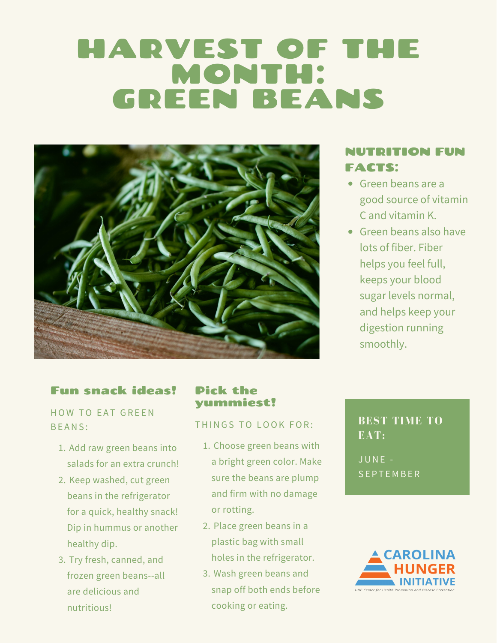# HARVEST OF THE MONTH: GREEN BEANS



## NUTRITION FUN FACTS:

- Green beans are a good source of vitamin C and vitamin K.
- Green beans also have lots of fiber. Fiber helps you feel full, keeps your blood sugar levels normal, and helps keep your digestion running smoothly.

### Fun snack ideas!

HOW TO EAT GREEN B E ANS :

- 1. Add raw green beans into salads for an extra crunch!
- 2. Keep washed, cut green beans in the refrigerator for a quick, healthy snack! Dip in hummus or another healthy dip.
- 3. Try fresh, canned, and frozen green beans--all are delicious and nutritious!

### Pick the yummiest!

#### THINGS TO LOOK FOR:

- 1. Choose green beans with a bright green color. Make sure the beans are plump and firm with no damage or rotting.
- 2. Place green beans in a plastic bag with small holes in the refrigerator.
- 3. Wash green beans and snap off both ends before cooking or eating.

### **BEST TIME TO EAT:**

JUNE - **SEPTEMBER**